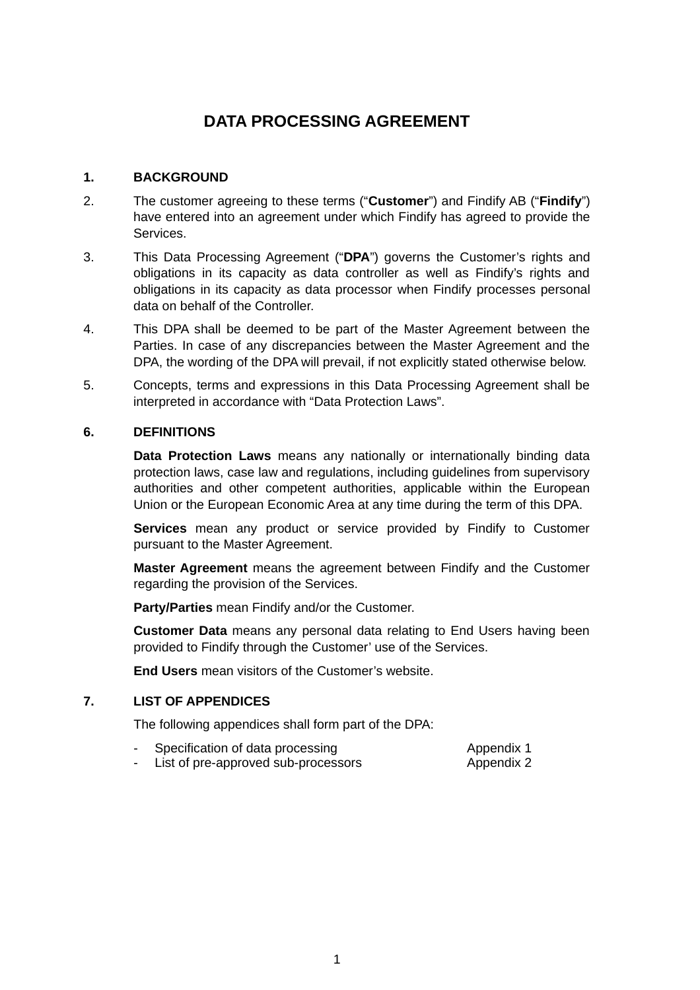# **DATA PROCESSING AGREEMENT**

#### **1. BACKGROUND**

- 2. The customer agreeing to these terms ("**Customer**") and Findify AB ("**Findify**") have entered into an agreement under which Findify has agreed to provide the Services.
- 3. This Data Processing Agreement ("**DPA**") governs the Customer's rights and obligations in its capacity as data controller as well as Findify's rights and obligations in its capacity as data processor when Findify processes personal data on behalf of the Controller.
- 4. This DPA shall be deemed to be part of the Master Agreement between the Parties. In case of any discrepancies between the Master Agreement and the DPA, the wording of the DPA will prevail, if not explicitly stated otherwise below.
- 5. Concepts, terms and expressions in this Data Processing Agreement shall be interpreted in accordance with "Data Protection Laws".

#### **6. DEFINITIONS**

**Data Protection Laws** means any nationally or internationally binding data protection laws, case law and regulations, including guidelines from supervisory authorities and other competent authorities, applicable within the European Union or the European Economic Area at any time during the term of this DPA.

**Services** mean any product or service provided by Findify to Customer pursuant to the Master Agreement.

**Master Agreement** means the agreement between Findify and the Customer regarding the provision of the Services.

**Party/Parties** mean Findify and/or the Customer.

**Customer Data** means any personal data relating to End Users having been provided to Findify through the Customer' use of the Services.

**End Users** mean visitors of the Customer's website.

## **7. LIST OF APPENDICES**

The following appendices shall form part of the DPA:

| Specification of data processing    | Appendix 1 |
|-------------------------------------|------------|
| List of pre-approved sub-processors | Appendix 2 |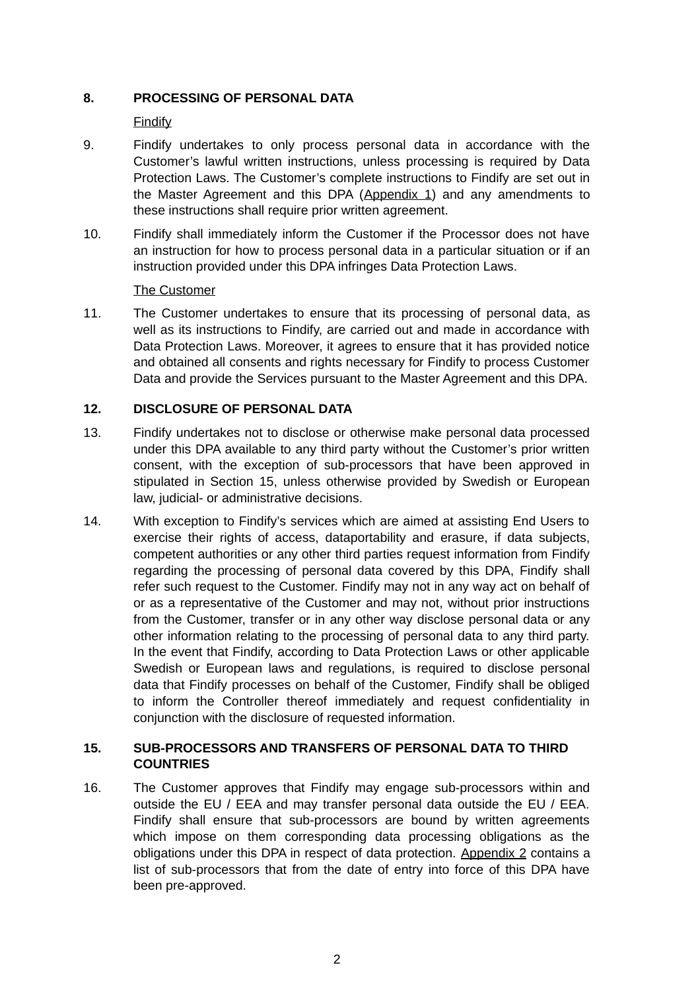## **8. PROCESSING OF PERSONAL DATA**

Findify

- 9. Findify undertakes to only process personal data in accordance with the Customer's lawful written instructions, unless processing is required by Data Protection Laws. The Customer's complete instructions to Findify are set out in the Master Agreement and this DPA (Appendix 1) and any amendments to these instructions shall require prior written agreement.
- 10. Findify shall immediately inform the Customer if the Processor does not have an instruction for how to process personal data in a particular situation or if an instruction provided under this DPA infringes Data Protection Laws.

#### The Customer

11. The Customer undertakes to ensure that its processing of personal data, as well as its instructions to Findify, are carried out and made in accordance with Data Protection Laws. Moreover, it agrees to ensure that it has provided notice and obtained all consents and rights necessary for Findify to process Customer Data and provide the Services pursuant to the Master Agreement and this DPA.

## **12. DISCLOSURE OF PERSONAL DATA**

- 13. Findify undertakes not to disclose or otherwise make personal data processed under this DPA available to any third party without the Customer's prior written consent, with the exception of sub-processors that have been approved in stipulated in Section [15,](#page-1-0) unless otherwise provided by Swedish or European law, judicial- or administrative decisions.
- 14. With exception to Findify's services which are aimed at assisting End Users to exercise their rights of access, dataportability and erasure, if data subjects, competent authorities or any other third parties request information from Findify regarding the processing of personal data covered by this DPA, Findify shall refer such request to the Customer. Findify may not in any way act on behalf of or as a representative of the Customer and may not, without prior instructions from the Customer, transfer or in any other way disclose personal data or any other information relating to the processing of personal data to any third party. In the event that Findify, according to Data Protection Laws or other applicable Swedish or European laws and regulations, is required to disclose personal data that Findify processes on behalf of the Customer, Findify shall be obliged to inform the Controller thereof immediately and request confidentiality in conjunction with the disclosure of requested information.

## <span id="page-1-0"></span>**15. SUB-PROCESSORS AND TRANSFERS OF PERSONAL DATA TO THIRD COUNTRIES**

16. The Customer approves that Findify may engage sub-processors within and outside the EU / EEA and may transfer personal data outside the EU / EEA. Findify shall ensure that sub-processors are bound by written agreements which impose on them corresponding data processing obligations as the obligations under this DPA in respect of data protection. Appendix 2 contains a list of sub-processors that from the date of entry into force of this DPA have been pre-approved.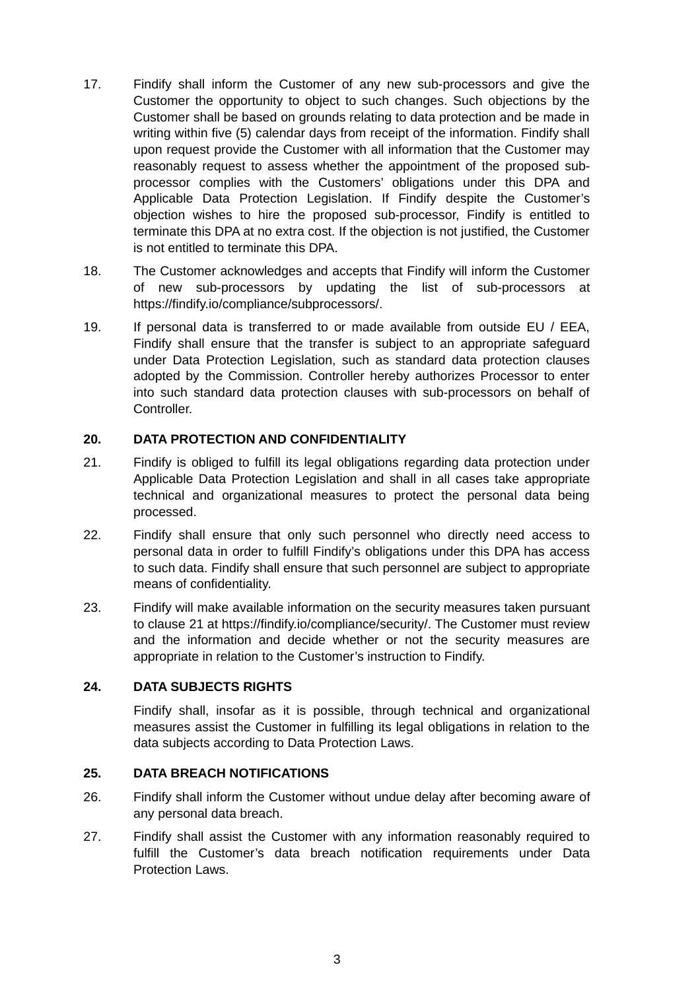- 17. Findify shall inform the Customer of any new sub-processors and give the Customer the opportunity to object to such changes. Such objections by the Customer shall be based on grounds relating to data protection and be made in writing within five (5) calendar days from receipt of the information. Findify shall upon request provide the Customer with all information that the Customer may reasonably request to assess whether the appointment of the proposed subprocessor complies with the Customers' obligations under this DPA and Applicable Data Protection Legislation. If Findify despite the Customer's objection wishes to hire the proposed sub-processor, Findify is entitled to terminate this DPA at no extra cost. If the objection is not justified, the Customer is not entitled to terminate this DPA.
- 18. The Customer acknowledges and accepts that Findify will inform the Customer of new sub-processors by updating the list of sub-processors at https://findify.io/compliance/subprocessors/.
- 19. If personal data is transferred to or made available from outside EU / EEA, Findify shall ensure that the transfer is subject to an appropriate safeguard under Data Protection Legislation, such as standard data protection clauses adopted by the Commission. Controller hereby authorizes Processor to enter into such standard data protection clauses with sub-processors on behalf of Controller.

## **20. DATA PROTECTION AND CONFIDENTIALITY**

- <span id="page-2-0"></span>21. Findify is obliged to fulfill its legal obligations regarding data protection under Applicable Data Protection Legislation and shall in all cases take appropriate technical and organizational measures to protect the personal data being processed.
- 22. Findify shall ensure that only such personnel who directly need access to personal data in order to fulfill Findify's obligations under this DPA has access to such data. Findify shall ensure that such personnel are subject to appropriate means of confidentiality.
- 23. Findify will make available information on the security measures taken pursuant to clause [21](#page-2-0) at https://findify.io/compliance/security/. The Customer must review and the information and decide whether or not the security measures are appropriate in relation to the Customer's instruction to Findify.

## **24. DATA SUBJECTS RIGHTS**

Findify shall, insofar as it is possible, through technical and organizational measures assist the Customer in fulfilling its legal obligations in relation to the data subjects according to Data Protection Laws.

## **25. DATA BREACH NOTIFICATIONS**

- 26. Findify shall inform the Customer without undue delay after becoming aware of any personal data breach.
- 27. Findify shall assist the Customer with any information reasonably required to fulfill the Customer's data breach notification requirements under Data Protection Laws.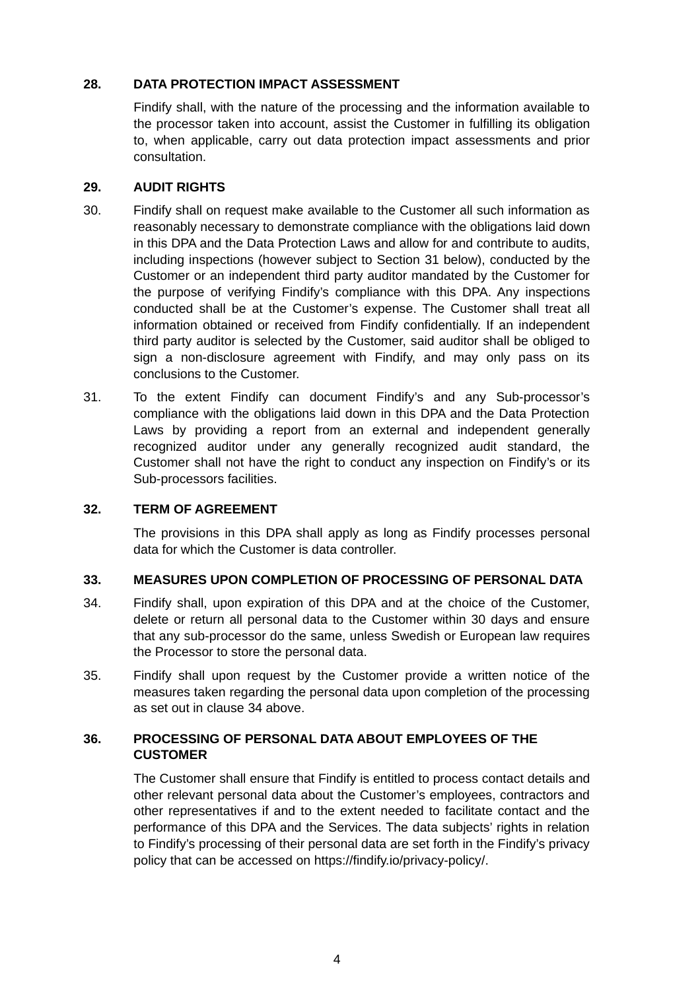## **28. DATA PROTECTION IMPACT ASSESSMENT**

Findify shall, with the nature of the processing and the information available to the processor taken into account, assist the Customer in fulfilling its obligation to, when applicable, carry out data protection impact assessments and prior consultation.

## **29. AUDIT RIGHTS**

- 30. Findify shall on request make available to the Customer all such information as reasonably necessary to demonstrate compliance with the obligations laid down in this DPA and the Data Protection Laws and allow for and contribute to audits, including inspections (however subject to Section [31](#page-3-1) below), conducted by the Customer or an independent third party auditor mandated by the Customer for the purpose of verifying Findify's compliance with this DPA. Any inspections conducted shall be at the Customer's expense. The Customer shall treat all information obtained or received from Findify confidentially. If an independent third party auditor is selected by the Customer, said auditor shall be obliged to sign a non-disclosure agreement with Findify, and may only pass on its conclusions to the Customer.
- <span id="page-3-1"></span>31. To the extent Findify can document Findify's and any Sub-processor's compliance with the obligations laid down in this DPA and the Data Protection Laws by providing a report from an external and independent generally recognized auditor under any generally recognized audit standard, the Customer shall not have the right to conduct any inspection on Findify's or its Sub-processors facilities.

## **32. TERM OF AGREEMENT**

The provisions in this DPA shall apply as long as Findify processes personal data for which the Customer is data controller.

## **33. MEASURES UPON COMPLETION OF PROCESSING OF PERSONAL DATA**

- <span id="page-3-0"></span>34. Findify shall, upon expiration of this DPA and at the choice of the Customer, delete or return all personal data to the Customer within 30 days and ensure that any sub-processor do the same, unless Swedish or European law requires the Processor to store the personal data.
- 35. Findify shall upon request by the Customer provide a written notice of the measures taken regarding the personal data upon completion of the processing as set out in clause [34](#page-3-0) above.

## **36. PROCESSING OF PERSONAL DATA ABOUT EMPLOYEES OF THE CUSTOMER**

The Customer shall ensure that Findify is entitled to process contact details and other relevant personal data about the Customer's employees, contractors and other representatives if and to the extent needed to facilitate contact and the performance of this DPA and the Services. The data subjects' rights in relation to Findify's processing of their personal data are set forth in the Findify's privacy policy that can be accessed on https://findify.io/privacy-policy/.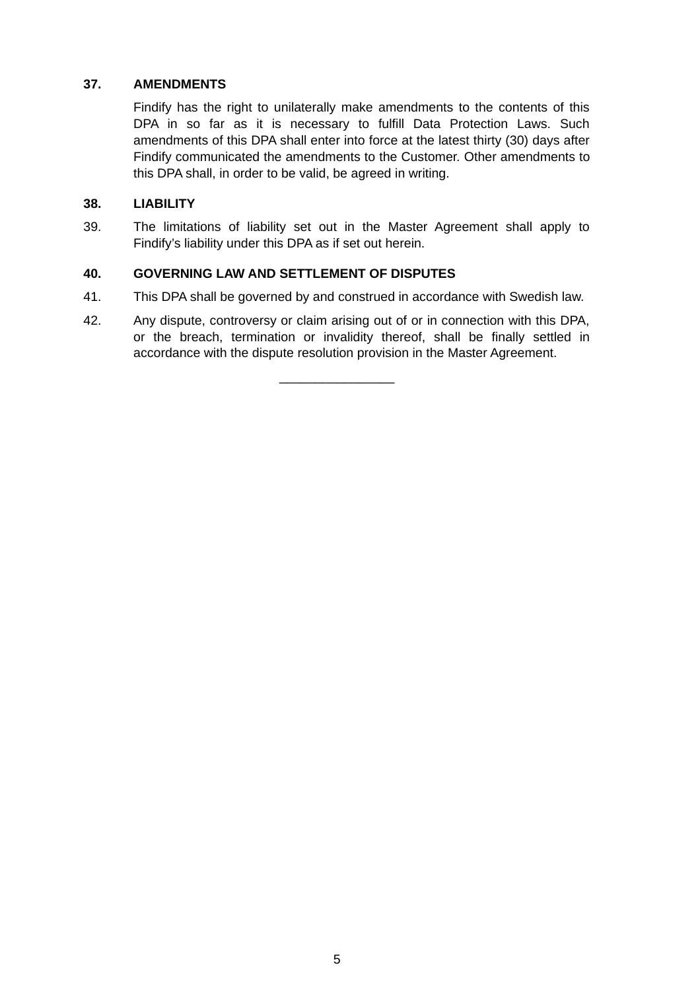## **37. AMENDMENTS**

Findify has the right to unilaterally make amendments to the contents of this DPA in so far as it is necessary to fulfill Data Protection Laws. Such amendments of this DPA shall enter into force at the latest thirty (30) days after Findify communicated the amendments to the Customer. Other amendments to this DPA shall, in order to be valid, be agreed in writing.

## **38. LIABILITY**

39. The limitations of liability set out in the Master Agreement shall apply to Findify's liability under this DPA as if set out herein.

## **40. GOVERNING LAW AND SETTLEMENT OF DISPUTES**

- 41. This DPA shall be governed by and construed in accordance with Swedish law.
- 42. Any dispute, controversy or claim arising out of or in connection with this DPA, or the breach, termination or invalidity thereof, shall be finally settled in accordance with the dispute resolution provision in the Master Agreement.

 $\frac{1}{2}$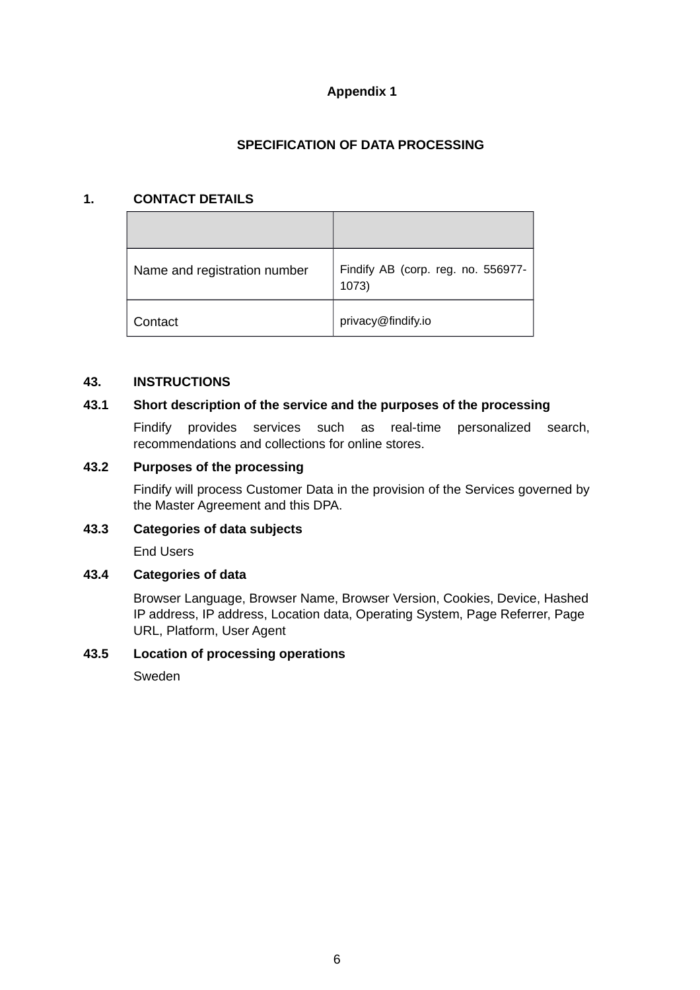## **Appendix 1**

## **SPECIFICATION OF DATA PROCESSING**

#### **1. CONTACT DETAILS**

| Name and registration number | Findify AB (corp. reg. no. 556977-<br>1073) |
|------------------------------|---------------------------------------------|
| Contact                      | privacy@findify.io                          |

#### **43. INSTRUCTIONS**

## **43.1 Short description of the service and the purposes of the processing**

Findify provides services such as real-time personalized search, recommendations and collections for online stores.

## **43.2 Purposes of the processing**

Findify will process Customer Data in the provision of the Services governed by the Master Agreement and this DPA.

## **43.3 Categories of data subjects**

End Users

## **43.4 Categories of data**

Browser Language, Browser Name, Browser Version, Cookies, Device, Hashed IP address, IP address, Location data, Operating System, Page Referrer, Page URL, Platform, User Agent

## **43.5 Location of processing operations**

Sweden